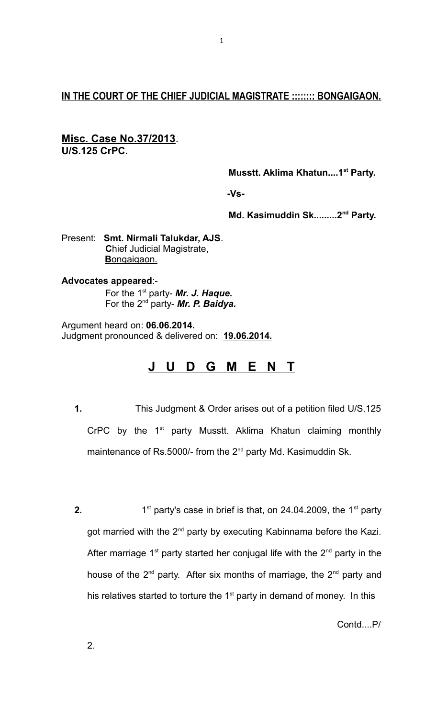# **IN THE COURT OF THE CHIEF JUDICIAL MAGISTRATE :::::::: BONGAIGAON.**

## **Misc. Case No.37/2013**. **U/S.125 CrPC.**

 **Musstt. Aklima Khatun....1st Party.**

 **-Vs-**

 **Md. Kasimuddin Sk.........2nd Party.**

Present: **Smt. Nirmali Talukdar, AJS**. **C**hief Judicial Magistrate, **B** ongaigaon.

## **Advocates appeared**:-

 For the 1st party- *Mr. J. Haque.* For the 2nd party- *Mr. P. Baidya.*

Argument heard on: **06.06.2014.** Judgment pronounced & delivered on: **19.06.2014.**

# **J U D G M E N T**

- **1.** This Judgment & Order arises out of a petition filed U/S.125 CrPC by the  $1<sup>st</sup>$  party Musstt. Aklima Khatun claiming monthly maintenance of Rs.5000/- from the 2<sup>nd</sup> party Md. Kasimuddin Sk.
- **2.** 1  $1<sup>st</sup>$  party's case in brief is that, on 24.04.2009, the  $1<sup>st</sup>$  party got married with the  $2^{nd}$  party by executing Kabinnama before the Kazi. After marriage 1<sup>st</sup> party started her conjugal life with the  $2<sup>nd</sup>$  party in the house of the  $2^{nd}$  party. After six months of marriage, the  $2^{nd}$  party and his relatives started to torture the  $1<sup>st</sup>$  party in demand of money. In this

Contd....P/

2.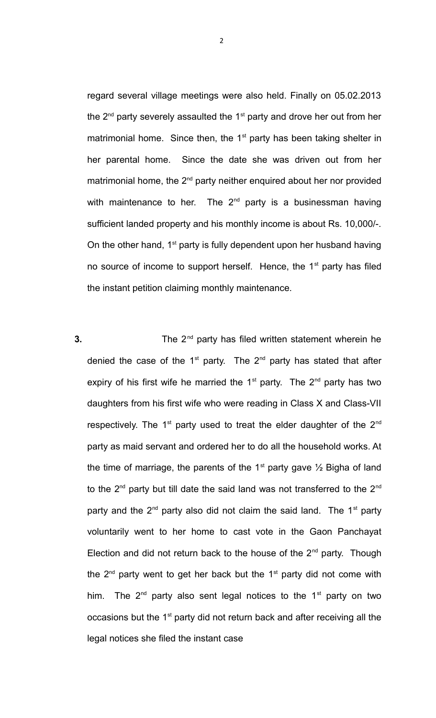regard several village meetings were also held. Finally on 05.02.2013 the  $2^{nd}$  party severely assaulted the  $1^{st}$  party and drove her out from her matrimonial home. Since then, the  $1<sup>st</sup>$  party has been taking shelter in her parental home. Since the date she was driven out from her matrimonial home, the  $2^{nd}$  party neither enquired about her nor provided with maintenance to her. The  $2<sup>nd</sup>$  party is a businessman having sufficient landed property and his monthly income is about Rs. 10,000/-. On the other hand,  $1<sup>st</sup>$  party is fully dependent upon her husband having no source of income to support herself. Hence, the  $1<sup>st</sup>$  party has filed the instant petition claiming monthly maintenance.

**3.** The 2<sup>nd</sup> party has filed written statement wherein he denied the case of the  $1^{st}$  party. The  $2^{nd}$  party has stated that after expiry of his first wife he married the  $1<sup>st</sup>$  party. The  $2<sup>nd</sup>$  party has two daughters from his first wife who were reading in Class X and Class-VII respectively. The  $1<sup>st</sup>$  party used to treat the elder daughter of the  $2<sup>nd</sup>$ party as maid servant and ordered her to do all the household works. At the time of marriage, the parents of the 1<sup>st</sup> party gave  $\frac{1}{2}$  Bigha of land to the  $2^{nd}$  party but till date the said land was not transferred to the  $2^{nd}$ party and the  $2^{nd}$  party also did not claim the said land. The  $1^{st}$  party voluntarily went to her home to cast vote in the Gaon Panchayat Election and did not return back to the house of the  $2<sup>nd</sup>$  party. Though the  $2<sup>nd</sup>$  party went to get her back but the 1<sup>st</sup> party did not come with him. The  $2^{nd}$  party also sent legal notices to the 1<sup>st</sup> party on two occasions but the  $1<sup>st</sup>$  party did not return back and after receiving all the legal notices she filed the instant case

2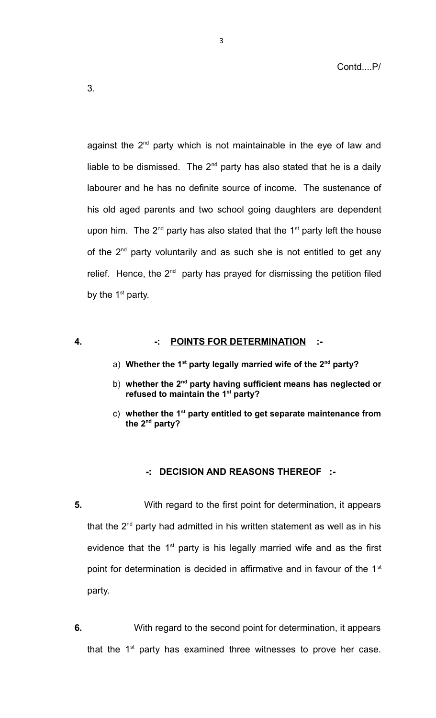3.

against the  $2<sup>nd</sup>$  party which is not maintainable in the eye of law and liable to be dismissed. The  $2^{nd}$  party has also stated that he is a daily labourer and he has no definite source of income. The sustenance of his old aged parents and two school going daughters are dependent upon him. The  $2^{nd}$  party has also stated that the  $1<sup>st</sup>$  party left the house of the  $2<sup>nd</sup>$  party voluntarily and as such she is not entitled to get any relief. Hence, the  $2<sup>nd</sup>$  party has prayed for dismissing the petition filed by the  $1<sup>st</sup>$  party.

### **4. -: POINTS FOR DETERMINATION :-**

- a) **Whether the 1st party legally married wife of the 2nd party?**
- b) **whether the 2nd party having sufficient means has neglected or refused to maintain the 1st party?**
- c) **whether the 1st party entitled to get separate maintenance from the 2nd party?**

### **-: DECISION AND REASONS THEREOF :-**

- **5.** With regard to the first point for determination, it appears that the  $2^{nd}$  party had admitted in his written statement as well as in his evidence that the  $1<sup>st</sup>$  party is his legally married wife and as the first point for determination is decided in affirmative and in favour of the  $1<sup>st</sup>$ party.
- **6.** With regard to the second point for determination, it appears that the  $1<sup>st</sup>$  party has examined three witnesses to prove her case.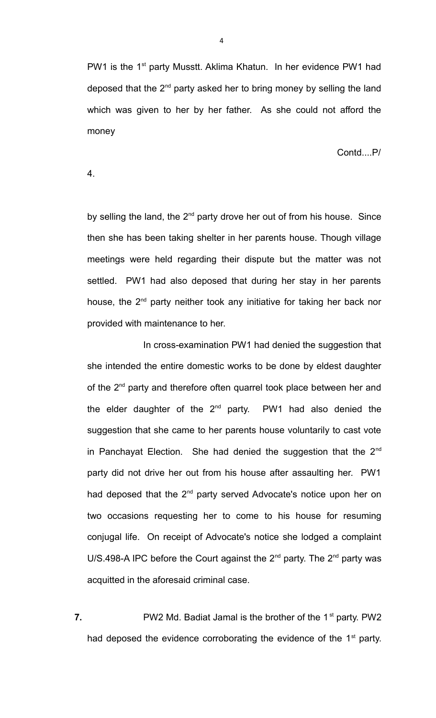PW1 is the 1<sup>st</sup> party Musstt. Aklima Khatun. In her evidence PW1 had deposed that the  $2<sup>nd</sup>$  party asked her to bring money by selling the land which was given to her by her father. As she could not afford the money

Contd....P/

4.

by selling the land, the  $2^{nd}$  party drove her out of from his house. Since then she has been taking shelter in her parents house. Though village meetings were held regarding their dispute but the matter was not settled. PW1 had also deposed that during her stay in her parents house, the  $2^{nd}$  party neither took any initiative for taking her back nor provided with maintenance to her.

 In cross-examination PW1 had denied the suggestion that she intended the entire domestic works to be done by eldest daughter of the  $2^{nd}$  party and therefore often quarrel took place between her and the elder daughter of the  $2^{nd}$  party. PW1 had also denied the suggestion that she came to her parents house voluntarily to cast vote in Panchayat Election. She had denied the suggestion that the  $2<sup>nd</sup>$ party did not drive her out from his house after assaulting her. PW1 had deposed that the 2<sup>nd</sup> party served Advocate's notice upon her on two occasions requesting her to come to his house for resuming conjugal life. On receipt of Advocate's notice she lodged a complaint U/S.498-A IPC before the Court against the  $2^{nd}$  party. The  $2^{nd}$  party was acquitted in the aforesaid criminal case.

**7.** PW2 Md. Badiat Jamal is the brother of the 1<sup>st</sup> party. PW2 had deposed the evidence corroborating the evidence of the  $1<sup>st</sup>$  party.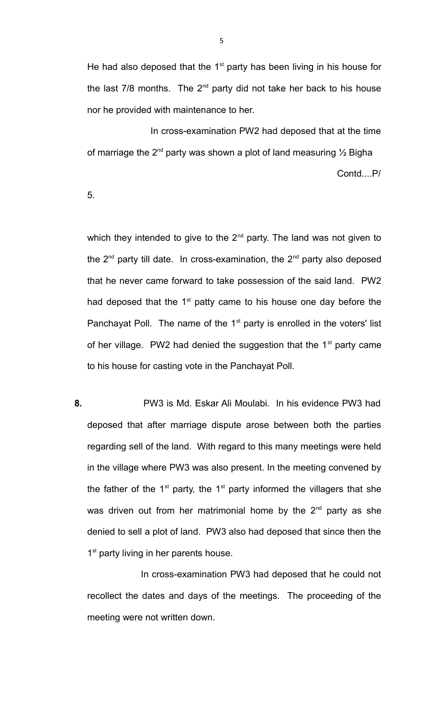He had also deposed that the  $1<sup>st</sup>$  party has been living in his house for the last  $7/8$  months. The  $2^{nd}$  party did not take her back to his house nor he provided with maintenance to her.

 In cross-examination PW2 had deposed that at the time of marriage the 2<sup>nd</sup> party was shown a plot of land measuring  $\frac{1}{2}$  Bigha Contd....P/

5.

which they intended to give to the  $2^{nd}$  party. The land was not given to the  $2^{nd}$  party till date. In cross-examination, the  $2^{nd}$  party also deposed that he never came forward to take possession of the said land. PW2 had deposed that the  $1<sup>st</sup>$  patty came to his house one day before the Panchayat Poll. The name of the  $1<sup>st</sup>$  party is enrolled in the voters' list of her village. PW2 had denied the suggestion that the  $1<sup>st</sup>$  party came to his house for casting vote in the Panchayat Poll.

**8.** PW3 is Md. Eskar Ali Moulabi. In his evidence PW3 had deposed that after marriage dispute arose between both the parties regarding sell of the land. With regard to this many meetings were held in the village where PW3 was also present. In the meeting convened by the father of the  $1<sup>st</sup>$  party, the  $1<sup>st</sup>$  party informed the villagers that she was driven out from her matrimonial home by the  $2<sup>nd</sup>$  party as she denied to sell a plot of land. PW3 also had deposed that since then the 1<sup>st</sup> party living in her parents house.

 In cross-examination PW3 had deposed that he could not recollect the dates and days of the meetings. The proceeding of the meeting were not written down.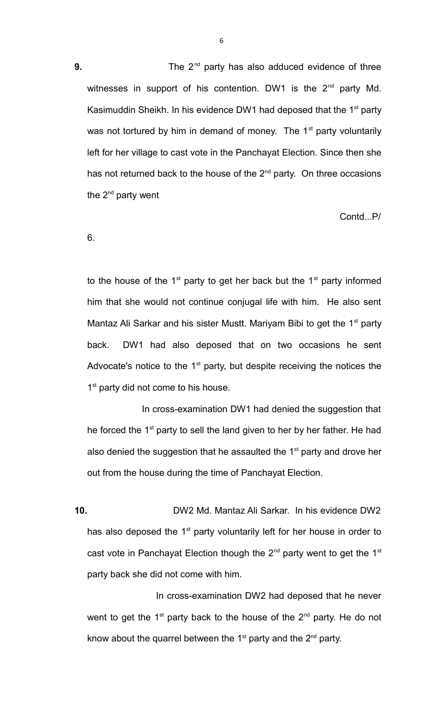6

**9.** The 2<sup>nd</sup> party has also adduced evidence of three witnesses in support of his contention. DW1 is the  $2<sup>nd</sup>$  party Md. Kasimuddin Sheikh. In his evidence DW1 had deposed that the  $1<sup>st</sup>$  party was not tortured by him in demand of money. The  $1<sup>st</sup>$  party voluntarily left for her village to cast vote in the Panchayat Election. Since then she has not returned back to the house of the 2<sup>nd</sup> party. On three occasions the  $2^{nd}$  party went

Contd...P/

6.

to the house of the  $1<sup>st</sup>$  party to get her back but the  $1<sup>st</sup>$  party informed him that she would not continue conjugal life with him. He also sent Mantaz Ali Sarkar and his sister Mustt. Mariyam Bibi to get the  $1<sup>st</sup>$  party back. DW1 had also deposed that on two occasions he sent Advocate's notice to the  $1<sup>st</sup>$  party, but despite receiving the notices the 1<sup>st</sup> party did not come to his house.

 In cross-examination DW1 had denied the suggestion that he forced the  $1<sup>st</sup>$  party to sell the land given to her by her father. He had also denied the suggestion that he assaulted the  $1<sup>st</sup>$  party and drove her out from the house during the time of Panchayat Election.

**10.** DW2 Md. Mantaz Ali Sarkar. In his evidence DW2 has also deposed the  $1<sup>st</sup>$  party voluntarily left for her house in order to cast vote in Panchayat Election though the  $2<sup>nd</sup>$  party went to get the 1<sup>st</sup> party back she did not come with him.

 In cross-examination DW2 had deposed that he never went to get the  $1<sup>st</sup>$  party back to the house of the  $2<sup>nd</sup>$  party. He do not know about the quarrel between the  $1<sup>st</sup>$  party and the  $2<sup>nd</sup>$  party.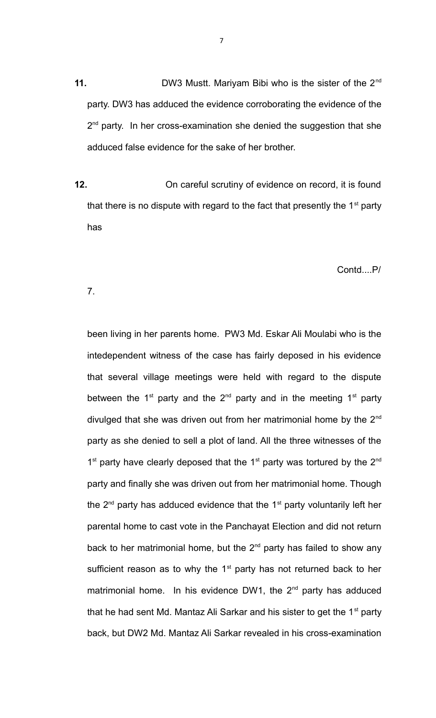**11.** DW3 Mustt. Mariyam Bibi who is the sister of the 2<sup>nd</sup> party. DW3 has adduced the evidence corroborating the evidence of the 2<sup>nd</sup> party. In her cross-examination she denied the suggestion that she adduced false evidence for the sake of her brother.

**12.** On careful scrutiny of evidence on record, it is found that there is no dispute with regard to the fact that presently the  $1<sup>st</sup>$  party has

Contd....P/

7.

been living in her parents home. PW3 Md. Eskar Ali Moulabi who is the intedependent witness of the case has fairly deposed in his evidence that several village meetings were held with regard to the dispute between the  $1^{st}$  party and the  $2^{nd}$  party and in the meeting  $1^{st}$  party divulged that she was driven out from her matrimonial home by the  $2^{nd}$ party as she denied to sell a plot of land. All the three witnesses of the  $1<sup>st</sup>$  party have clearly deposed that the  $1<sup>st</sup>$  party was tortured by the  $2<sup>nd</sup>$ party and finally she was driven out from her matrimonial home. Though the  $2^{nd}$  party has adduced evidence that the  $1^{st}$  party voluntarily left her parental home to cast vote in the Panchayat Election and did not return back to her matrimonial home, but the  $2<sup>nd</sup>$  party has failed to show any sufficient reason as to why the  $1<sup>st</sup>$  party has not returned back to her matrimonial home. In his evidence DW1, the  $2^{nd}$  party has adduced that he had sent Md. Mantaz Ali Sarkar and his sister to get the  $1<sup>st</sup>$  party back, but DW2 Md. Mantaz Ali Sarkar revealed in his cross-examination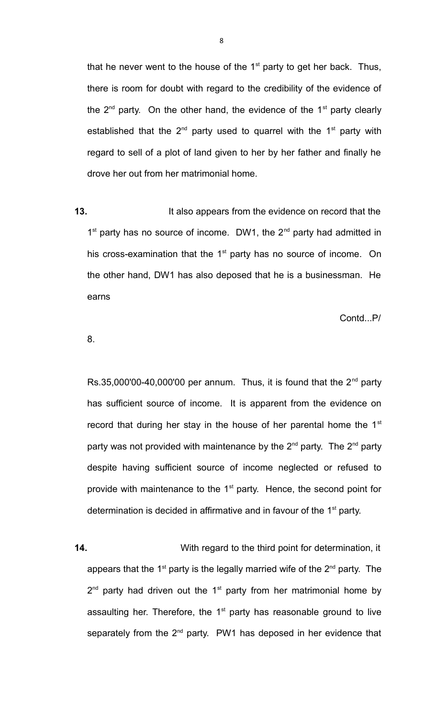that he never went to the house of the  $1<sup>st</sup>$  party to get her back. Thus, there is room for doubt with regard to the credibility of the evidence of the  $2^{nd}$  party. On the other hand, the evidence of the  $1^{st}$  party clearly established that the  $2^{nd}$  party used to quarrel with the  $1^{st}$  party with regard to sell of a plot of land given to her by her father and finally he drove her out from her matrimonial home.

**13.** It also appears from the evidence on record that the 1<sup>st</sup> party has no source of income. DW1, the 2<sup>nd</sup> party had admitted in his cross-examination that the  $1<sup>st</sup>$  party has no source of income. On the other hand, DW1 has also deposed that he is a businessman. He earns

Contd...P/

8.

Rs.35,000'00-40,000'00 per annum. Thus, it is found that the  $2^{nd}$  party has sufficient source of income. It is apparent from the evidence on record that during her stay in the house of her parental home the  $1<sup>st</sup>$ party was not provided with maintenance by the  $2^{nd}$  party. The  $2^{nd}$  party despite having sufficient source of income neglected or refused to provide with maintenance to the  $1<sup>st</sup>$  party. Hence, the second point for determination is decided in affirmative and in favour of the  $1<sup>st</sup>$  party.

**14.** With regard to the third point for determination, it appears that the 1<sup>st</sup> party is the legally married wife of the  $2^{nd}$  party. The  $2<sup>nd</sup>$  party had driven out the 1<sup>st</sup> party from her matrimonial home by assaulting her. Therefore, the  $1<sup>st</sup>$  party has reasonable ground to live separately from the  $2<sup>nd</sup>$  party. PW1 has deposed in her evidence that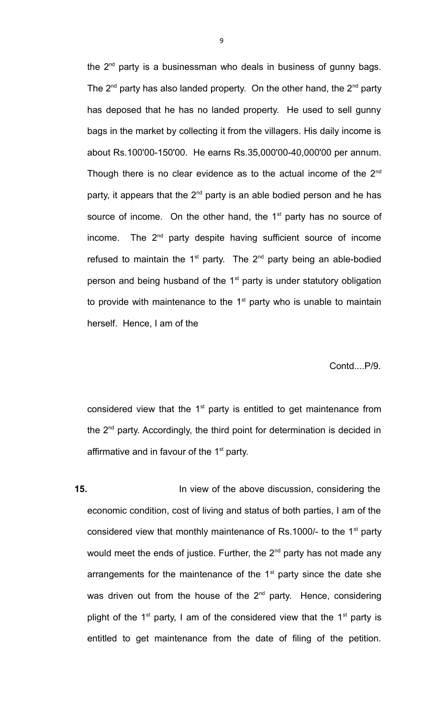the  $2<sup>nd</sup>$  party is a businessman who deals in business of gunny bags. The  $2^{nd}$  party has also landed property. On the other hand, the  $2^{nd}$  party has deposed that he has no landed property. He used to sell gunny bags in the market by collecting it from the villagers. His daily income is about Rs.100'00-150'00. He earns Rs.35,000'00-40,000'00 per annum. Though there is no clear evidence as to the actual income of the  $2<sup>nd</sup>$ party, it appears that the  $2^{nd}$  party is an able bodied person and he has source of income. On the other hand, the 1<sup>st</sup> party has no source of income. The  $2<sup>nd</sup>$  party despite having sufficient source of income refused to maintain the  $1<sup>st</sup>$  party. The  $2<sup>nd</sup>$  party being an able-bodied person and being husband of the  $1<sup>st</sup>$  party is under statutory obligation to provide with maintenance to the  $1<sup>st</sup>$  party who is unable to maintain herself. Hence, I am of the

Contd....P/9.

considered view that the  $1<sup>st</sup>$  party is entitled to get maintenance from the 2nd party. Accordingly, the third point for determination is decided in affirmative and in favour of the  $1<sup>st</sup>$  party.

**15.** In view of the above discussion, considering the economic condition, cost of living and status of both parties, I am of the considered view that monthly maintenance of Rs.1000/- to the  $1<sup>st</sup>$  party would meet the ends of justice. Further, the  $2^{nd}$  party has not made any arrangements for the maintenance of the  $1<sup>st</sup>$  party since the date she was driven out from the house of the  $2<sup>nd</sup>$  party. Hence, considering plight of the 1<sup>st</sup> party, I am of the considered view that the 1<sup>st</sup> party is entitled to get maintenance from the date of filing of the petition.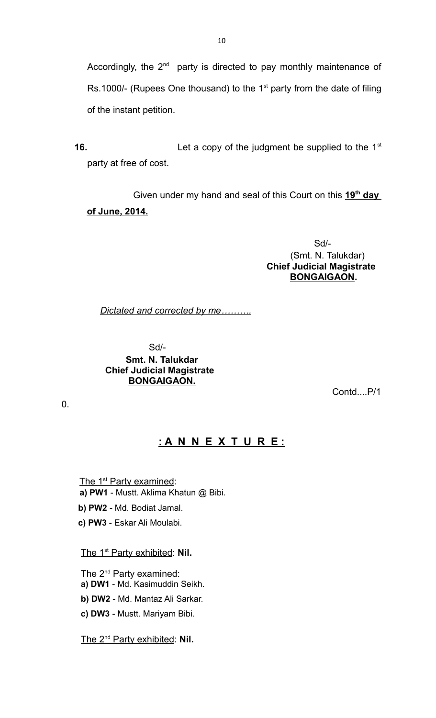Accordingly, the  $2^{nd}$  party is directed to pay monthly maintenance of Rs.1000/- (Rupees One thousand) to the  $1<sup>st</sup>$  party from the date of filing of the instant petition.

**16.** Let a copy of the judgment be supplied to the 1<sup>st</sup> party at free of cost.

Given under my hand and seal of this Court on this 19<sup>th</sup> day **of June, 2014.** 

 Sd/- (Smt. N. Talukdar)  **Chief Judicial Magistrate BONGAIGAON.**

*Dictated and corrected by me……….* 

 Sd/-  **Smt. N. Talukdar Chief Judicial Magistrate BONGAIGAON.**

Contd....P/1

0.

# **: A N N E X T U R E :**

The 1<sup>st</sup> Party examined:  **a) PW1** - Mustt. Aklima Khatun @ Bibi.

 **b) PW2** - Md. Bodiat Jamal.

**c) PW3** - Eskar Ali Moulabi.

The 1<sup>st</sup> Party exhibited: Nil.

The 2<sup>nd</sup> Party examined:

**a) DW1** - Md. Kasimuddin Seikh.

**b) DW2** - Md. Mantaz Ali Sarkar.

**c) DW3** - Mustt. Mariyam Bibi.

The 2<sup>nd</sup> Party exhibited: Nil.